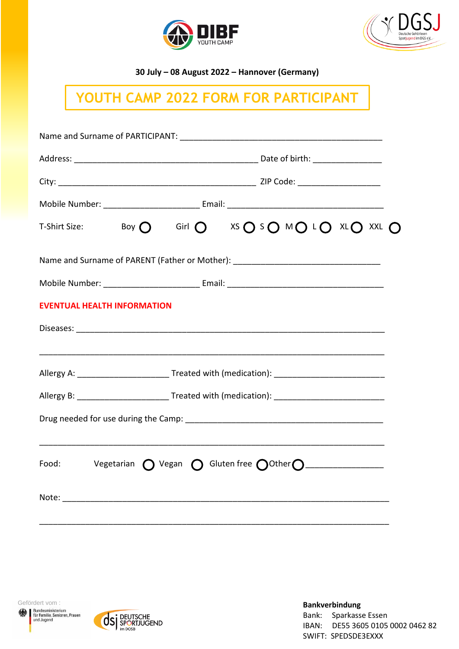



**30 July – 08 August 2022 – Hannover (Germany)**

## **YOUTH CAMP 2022 FORM FOR PARTICIPANT**

|                                                                                                      |                                                                                                      |  |  | T-Shirt Size: Boy $O$ Girl $O$ XS $O$ S $O$ M $O$ L $O$ XL $O$ XXL $O$                                |  |  |
|------------------------------------------------------------------------------------------------------|------------------------------------------------------------------------------------------------------|--|--|-------------------------------------------------------------------------------------------------------|--|--|
|                                                                                                      |                                                                                                      |  |  | Name and Surname of PARENT (Father or Mother): _________________________________                      |  |  |
|                                                                                                      |                                                                                                      |  |  |                                                                                                       |  |  |
| <b>EVENTUAL HEALTH INFORMATION</b>                                                                   |                                                                                                      |  |  |                                                                                                       |  |  |
|                                                                                                      |                                                                                                      |  |  |                                                                                                       |  |  |
|                                                                                                      |                                                                                                      |  |  |                                                                                                       |  |  |
|                                                                                                      | Allergy A: ___________________________Treated with (medication): ___________________________________ |  |  |                                                                                                       |  |  |
| Allergy B: ____________________________Treated with (medication): __________________________________ |                                                                                                      |  |  |                                                                                                       |  |  |
|                                                                                                      |                                                                                                      |  |  |                                                                                                       |  |  |
|                                                                                                      |                                                                                                      |  |  | Food: Vegetarian $\bigcirc$ Vegan $\bigcirc$ Gluten free $\bigcirc$ Other $\bigcirc$ ________________ |  |  |
|                                                                                                      |                                                                                                      |  |  |                                                                                                       |  |  |
|                                                                                                      |                                                                                                      |  |  |                                                                                                       |  |  |